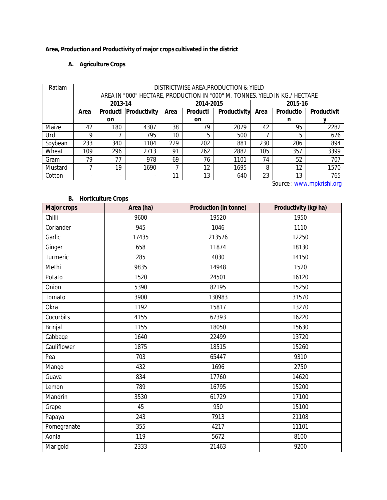## **Area, Production and Productivity of major crops cultivated in the district**

## **A. Agriculture Crops**

| Ratlam  | DISTRICTWISE AREA, PRODUCTION & YIELD                                       |                          |                         |           |           |                     |         |                  |                    |
|---------|-----------------------------------------------------------------------------|--------------------------|-------------------------|-----------|-----------|---------------------|---------|------------------|--------------------|
|         | AREA IN "000" HECTARE, PRODUCTION IN "000" M. TONNES, YIELD IN KG./ HECTARE |                          |                         |           |           |                     |         |                  |                    |
|         | 2013-14                                                                     |                          |                         | 2014-2015 |           |                     | 2015-16 |                  |                    |
|         | Area                                                                        |                          | Producti   Productivity | Area      | Producti  | <b>Productivity</b> | Area    | <b>Productio</b> | <b>Productivit</b> |
|         |                                                                             | <b>on</b>                |                         |           | <b>on</b> |                     |         | n                |                    |
| Maize   | 42                                                                          | 180                      | 4307                    | 38        | 79        | 2079                | 42      | 95               | 2282               |
| Urd     | 9                                                                           |                          | 795                     | 10        | 5         | 500                 |         | 5                | 676                |
| Soybean | 233                                                                         | 340                      | 1104                    | 229       | 202       | 881                 | 230     | 206              | 894                |
| Wheat   | 109                                                                         | 296                      | 2713                    | 91        | 262       | 2882                | 105     | 357              | 3399               |
| Gram    | 79                                                                          | 77                       | 978                     | 69        | 76        | 1101                | 74      | 52               | 707                |
| Mustard | ⇁                                                                           | 19                       | 1690                    |           | 12        | 1695                | 8       | 12               | 1570               |
| Cotton  | ٠                                                                           | $\overline{\phantom{a}}$ | -                       | 11        | 13        | 640                 | 23      | 13               | 765                |

Source : www.mpkrishi.org

## **B. Horticulture Crops Major crops Area (ha) Production (in tonne) Productivity (kg/ha)** Chilli 9600 19520 1950 Coriander 945 1046 1110 Garlic 17435 213576 213576 12250 Ginger 658 11874 18130 Turmeric 285 4030 14150 Methi 9835 14948 1520 Potato 1520 24501 16120 Onion 5390 82195 15250 Tomato 3900 130983 31570 Okra 1192 15817 13270 Cucurbits 4155 67393 16220 Brinjal 1155 18050 15630 Cabbage 1640 22499 13720 Cauliflower 1875 - 1875 18515 15260 Pea 703 65447 9310 Mango 432 1696 2750 Guava 834 17760 14620 Lemon 789 16795 15200 Mandrin 3530 61729 17100 Grape 45 950 15100 Papaya 243 7913 21108 Pomegranate 11101 355 4217 11101 Aonla 119 5672 8100 Marigold 2333 21463 9200